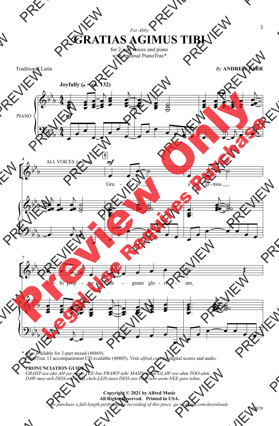## For Abby **GRATIAS AGIMUS TIBI**

for 2-part voices and piano with optional PianoTrax\*

**Traditional Latin** 

**By ANDREW PARR** 



\* Also available for 3-part mixed (48869). PianoTrax 13 accompaniment CD available (48805). Visit alfred.com for digital scores and audio.

## PRONUNCIATION GUIDE

GRAHT-see-ahs AH-jee-moos TEE-bee PRAWP-tehr MAHN-yahm GLAW-ree-ahm TOO-ahm.<br>DAW-mee-neh DEH-oos rehks cheh-LEH-stees DEH-oos PAH-tehr awm-NEE-paw-tehnz.

## Copyright © 2021 by Alfred Music All Rights Reserved. Printed in USA.

To purchase a full-length performance recording of this piece, go to alfred.com/downloads

3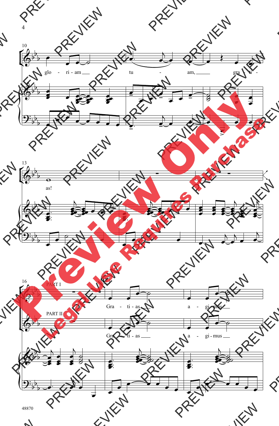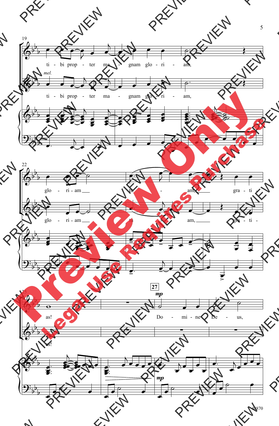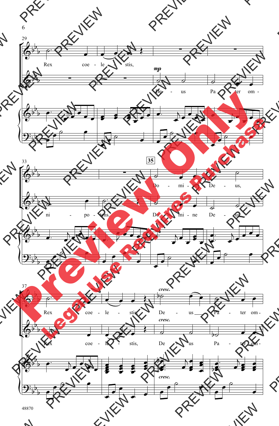

48870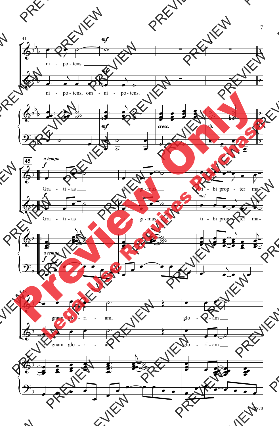